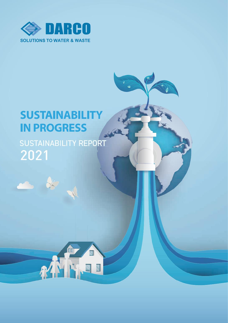

# **SUSTAINABILITY IN PROGRESS**

# SUSTAINABILITY REPORT 2021

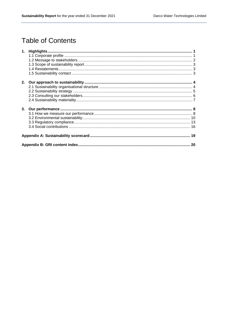# **Table of Contents**

| 2. |  |
|----|--|
|    |  |
|    |  |
|    |  |
|    |  |
|    |  |
|    |  |
|    |  |
|    |  |
|    |  |
|    |  |
|    |  |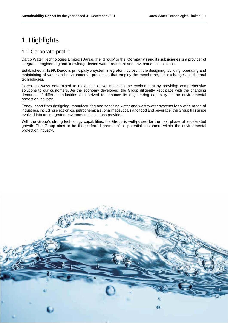# <span id="page-2-0"></span>1. Highlights

# <span id="page-2-1"></span>1.1 Corporate profile

Darco Water Technologies Limited (**Darco**, the '**Group**' or the '**Company**') and its subsidiaries is a provider of integrated engineering and knowledge-based water treatment and environmental solutions.

Established in 1999, Darco is principally a system integrator involved in the designing, building, operating and maintaining of water and environmental processes that employ the membrane, ion exchange and thermal technologies.

Darco is always determined to make a positive impact to the environment by providing comprehensive solutions to our customers. As the economy developed, the Group diligently kept pace with the changing demands of different industries and strived to enhance its engineering capability in the environmental protection industry.

Today, apart from designing, manufacturing and servicing water and wastewater systems for a wide range of industries, including electronics, petrochemicals, pharmaceuticals and food and beverage, the Group has since evolved into an integrated environmental solutions provider.

<span id="page-2-2"></span>With the Group's strong technology capabilities, the Group is well-poised for the next phase of accelerated growth. The Group aims to be the preferred partner of all potential customers within the environmental protection industry.

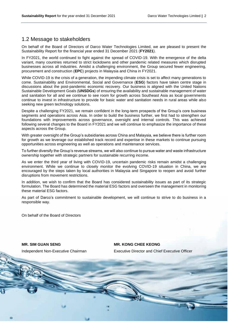## 1.2 Message to stakeholders

On behalf of the Board of Directors of Darco Water Technologies Limited, we are pleased to present the Sustainability Report for the financial year ended 31 December 2021 (**FY2021**).

In FY2021, the world continued to fight against the spread of COVID-19. With the emergence of the delta variant, many countries returned to strict lockdowns and other pandemic related measures which disrupted businesses across all industries. Amidst a challenging environment, the Group secured fewer engineering, procurement and construction (**EPC**) projects in Malaysia and China in FY2021.

While COVID-19 is the crisis of a generation, the impending climate crisis is set to affect many generations to come. Sustainability and Environmental, Social and Governance (**ESG**) factors have taken centre stage in discussions about the post-pandemic economic recovery. Our business is aligned with the United Nations Sustainable Development Goals (**UNSDGs**) of ensuring the availability and sustainable management of water and sanitation for all and we continue to see room for growth across Southeast Asia as local governments continue to invest in infrastructure to provide for basic water and sanitation needs in rural areas while also seeking new green technology solutions.

Despite a challenging FY2021, we remain confident in the long-term prospects of the Group's core business segments and operations across Asia. In order to build the business further, we first had to strengthen our foundations with improvements across governance, oversight and internal controls. This was achieved following several changes to the Board in FY2021 and we will continue to emphasize the importance of these aspects across the Group.

With greater oversight of the Group's subsidiaries across China and Malaysia, we believe there is further room for growth as we leverage our established track record and expertise in these markets to continue pursuing opportunities across engineering as well as operations and maintenance services.

To further diversify the Group's revenue streams, we will also continue to pursue water and waste infrastructure ownership together with strategic partners for sustainable recurring income.

As we enter the third year of living with COVID-19, uncertain pandemic risks remain amidst a challenging environment. While we continue to closely monitor the evolving COVID-19 situation in China, we are encouraged by the steps taken by local authorities in Malaysia and Singapore to reopen and avoid further disruptions from movement restrictions.

In addition, we wish to confirm that the Board has considered sustainability issues as part of its strategic formulation. The Board has determined the material ESG factors and overseen the management in monitoring these material ESG factors.

As part of Darco's commitment to sustainable development, we will continue to strive to do business in a responsible way.

On behalf of the Board of Directors

**MR. SIM GUAN SENG**

**MR. KONG CHEE KEONG**

Executive Director and Chief Executive Officer

Independent Non-Executive Chairman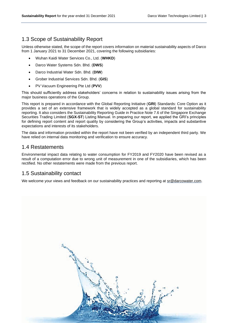# <span id="page-4-0"></span>1.3 Scope of Sustainability Report

Unless otherwise stated, the scope of the report covers information on material sustainability aspects of Darco from 1 January 2021 to 31 December 2021, covering the following subsidiaries:

- Wuhan Kaidi Water Services Co., Ltd. (**WHKD**)
- Darco Water Systems Sdn. Bhd. (**DWS**)
- Darco Industrial Water Sdn. Bhd. (**DIW**)
- Grober Industrial Services Sdn. Bhd. (**GIS**)
- PV Vacuum Engineering Pte Ltd (**PVV**)

This should sufficiently address stakeholders' concerns in relation to sustainability issues arising from the major business operations of the Group.

This report is prepared in accordance with the Global Reporting Initiative (**GRI**) Standards: Core Option as it provides a set of an extensive framework that is widely accepted as a global standard for sustainability reporting. It also considers the Sustainability Reporting Guide in Practice Note 7.6 of the Singapore Exchange Securities Trading Limited (**SGX-ST**) Listing Manual. In preparing our report, we applied the GRI's principles for defining report content and report quality by considering the Group's activities, impacts and substantive expectations and interests of its stakeholders.

The data and information provided within the report have not been verified by an independent third party. We have relied on internal data monitoring and verification to ensure accuracy.

# <span id="page-4-1"></span>1.4 Restatements

Environmental impact data relating to water consumption for FY2019 and FY2020 have been revised as a result of a computation error due to wrong unit of measurement in one of the subsidiaries, which has been rectified. No other restatements were made from the previous report.

# <span id="page-4-2"></span>1.5 Sustainability contact

We welcome your views and feedback on our sustainability practices and reporting at sr@darcowater.com.

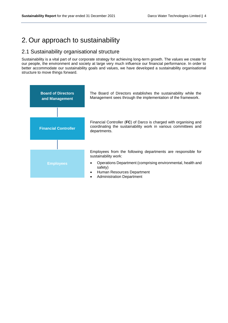# <span id="page-5-0"></span>2. Our approach to sustainability

## <span id="page-5-1"></span>2.1 Sustainability organisational structure

Sustainability is a vital part of our corporate strategy for achieving long-term growth. The values we create for our people, the environment and society at large very much influence our financial performance. In order to better accommodate our sustainability goals and values, we have developed a sustainability organisational structure to move things forward.

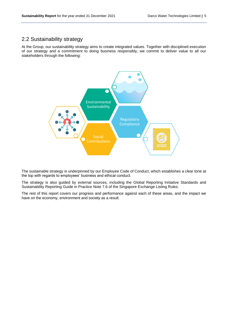# <span id="page-6-0"></span>2.2 Sustainability strategy

At the Group, our sustainability strategy aims to create integrated values. Together with disciplined execution of our strategy and a commitment to doing business responsibly, we commit to deliver value to all our stakeholders through the following:



The sustainable strategy is underpinned by our Employee Code of Conduct, which establishes a clear tone at the top with regards to employees' business and ethical conduct.

The strategy is also guided by external sources, including the Global Reporting Initiative Standards and Sustainability Reporting Guide in Practice Note 7.6 of the Singapore Exchange Listing Rules.

The rest of this report covers our progress and performance against each of these areas, and the impact we have on the economy, environment and society as a result.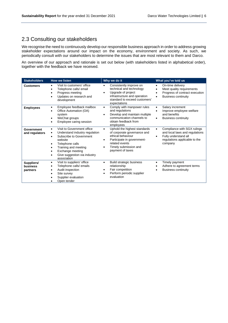# <span id="page-7-0"></span>2.3 Consulting our stakeholders

We recognise the need to continuously develop our responsible business approach in order to address growing stakeholder expectations around our impact on the economy, environment and society. As such, we periodically consult with our stakeholders to determine the issues that are most relevant to them and Darco.

An overview of our approach and rationale is set out below (with stakeholders listed in alphabetical order), together with the feedback we have received.

| <b>Stakeholders</b><br><b>How we listen</b> |                                                                                                                                                                                                                                                                   | Why we do it                                                                                                                                                                                         | What you've told us                                                                                                                                               |  |  |
|---------------------------------------------|-------------------------------------------------------------------------------------------------------------------------------------------------------------------------------------------------------------------------------------------------------------------|------------------------------------------------------------------------------------------------------------------------------------------------------------------------------------------------------|-------------------------------------------------------------------------------------------------------------------------------------------------------------------|--|--|
| <b>Customers</b>                            | Visit to customers' office<br>Telephone calls/ email<br>$\bullet$<br>Progress meeting<br>$\bullet$<br>Updates on research and<br>٠<br>development                                                                                                                 | Consistently improve on<br>٠<br>technical and technology<br>Upgrade of project<br>$\bullet$<br>infrastructure and operation<br>standard to exceed customers'<br>expectations                         | On-time delivery<br>$\bullet$<br>Meet quality requirements<br>$\bullet$<br>Progress of contract execution<br>$\bullet$<br><b>Business continuity</b><br>$\bullet$ |  |  |
| <b>Employees</b>                            | Employee feedback mailbox<br>٠<br>Office Automation (OA)<br>$\bullet$<br>system<br>WeChat groups<br>٠<br>Employee caring session<br>$\bullet$                                                                                                                     | Comply with manpower rules<br>$\bullet$<br>and regulations<br>Develop and maintain multiple<br>٠<br>communication channels to<br>obtain feedback from<br>employees                                   | Salary increment<br>$\bullet$<br>Improve employee welfare<br>$\bullet$<br>and benefits<br><b>Business continuity</b><br>$\bullet$                                 |  |  |
| Government<br>and regulators                | Visit to Government office<br>$\bullet$<br>Understand industry regulation<br>٠<br>Subscribe to Government<br>$\bullet$<br>website<br>Telephone calls<br>٠<br>Training and meeting<br>$\bullet$<br>Exchange meeting<br>Give suggestion via industry<br>association | Uphold the highest standards<br>$\bullet$<br>of corporate governance and<br>ethical behaviour<br>Participate in government-<br>٠<br>related events<br>Timely submission and<br>٠<br>payment of taxes | Compliance with SGX rulings<br>$\bullet$<br>and local laws and regulations<br>Fully understand all<br>$\bullet$<br>regulations applicable to the<br>company       |  |  |
| Suppliers/<br>business<br>partners          | Visit to suppliers' office<br>٠<br>Telephone calls/ emails<br>٠<br>Audit inspection<br>٠<br>Site survey<br>Supplier evaluation<br>Open tender                                                                                                                     | <b>Build strategic business</b><br>٠<br>relationship<br>Fair competition<br>$\bullet$<br>Perform periodic supplier<br>٠<br>evaluation                                                                | Timely payment<br>$\bullet$<br>Adhere to agreement terms<br><b>Business continuity</b><br>$\bullet$                                                               |  |  |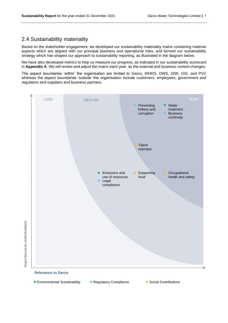# <span id="page-8-0"></span>2.4 Sustainability materiality

Based on the stakeholder engagement, we developed our sustainability materiality matrix containing material aspects which are aligned with our principal business and operational risks, and formed our sustainability strategy which has shaped our approach to sustainability reporting, as illustrated in the diagram below.

We have also developed metrics to help us measure our progress, as indicated in our sustainability scorecard in **Appendix A**. We will review and adjust the matrix each year, as the external and business context changes.

The aspect boundaries 'within' the organisation are limited to Darco, WHKD, DWS, DIW, GIS, and PVV whereas the aspect boundaries 'outside' the organisation include customers, employees, government and regulators and suppliers and business partners.



- Environmental Sustainability Regulatory Compliance Social Contributions
	-
-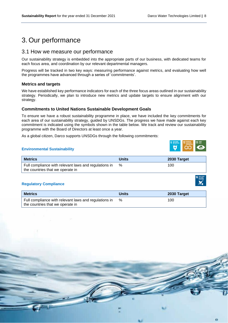# <span id="page-9-0"></span>3. Our performance

### <span id="page-9-1"></span>3.1 How we measure our performance

Our sustainability strategy is embedded into the appropriate parts of our business, with dedicated teams for each focus area, and coordination by our relevant departmental managers.

Progress will be tracked in two key ways: measuring performance against metrics, and evaluating how well the programmes have advanced through a series of 'commitments'.

#### **Metrics and targets**

We have established key performance indicators for each of the three focus areas outlined in our sustainability strategy. Periodically, we plan to introduce new metrics and update targets to ensure alignment with our strategy.

#### **Commitments to United Nations Sustainable Development Goals**

To ensure we have a robust sustainability programme in place, we have included the key commitments for each area of our sustainability strategy, guided by UNSDGs. The progress we have made against each key commitment is indicated using the symbols shown in the table below. We track and review our sustainability programme with the Board of Directors at least once a year.

As a global citizen, Darco supports UNSDGs through the following commitments:

#### **Environmental Sustainability**

| <b>Metrics</b>                                                                            | Units | 2030 Target |
|-------------------------------------------------------------------------------------------|-------|-------------|
| Full compliance with relevant laws and regulations in<br>the countries that we operate in | %     | 100         |

#### **Regulatory Compliance**

| <b>Metrics</b>                                        | <b>Units</b> | 2030 Target |
|-------------------------------------------------------|--------------|-------------|
| Full compliance with relevant laws and regulations in | %            | 100         |
| the countries that we operate in                      |              |             |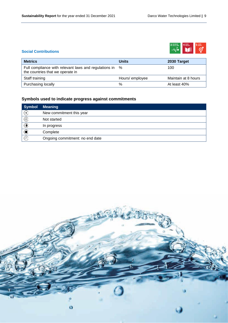

#### **Social Contributions**

| <b>Metrics</b>                                                                            | <b>Units</b>   | 2030 Target         |
|-------------------------------------------------------------------------------------------|----------------|---------------------|
| Full compliance with relevant laws and regulations in<br>the countries that we operate in | %              | 100                 |
| Staff training                                                                            | Hours/employee | Maintain at 8 hours |
| Purchasing locally                                                                        | %              | At least 40%        |

## **Symbols used to indicate progress against commitments**

| <b>Symbol</b> | <b>Meaning</b>                  |
|---------------|---------------------------------|
| (N)           | New commitment this year        |
|               | Not started                     |
|               | In progress                     |
|               | Complete                        |
| ′ လ           | Ongoing commitment: no end date |

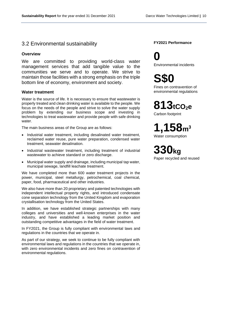### <span id="page-11-0"></span>3.2 Environmental sustainability

#### **Overview**

We are committed to providing world-class water management services that add tangible value to the communities we serve and to operate. We strive to maintain those facilities with a strong emphasis on the triple bottom line of economy, environment and society.

#### **Water treatment**

Water is the source of life. It is necessary to ensure that wastewater is properly treated and clean drinking water is available to the people. We focus on the needs of the people and strive to solve the water supply problem by extending our business scope and investing in technologies to treat wastewater and provide people with safe drinking water.

The main business areas of the Group are as follows:

- Industrial water treatment, including desalinated water treatment, reclaimed water reuse, pure water preparation, condensed water treatment, seawater desalination.
- Industrial wastewater treatment, including treatment of industrial wastewater to achieve standard or zero discharge.
- Municipal water supply and drainage, including municipal tap water, municipal sewage, landfill leachate treatment.

We have completed more than 600 water treatment projects in the power, municipal, steel metallurgy, petrochemical, coal chemical, paper, food, pharmaceutical and other industries.

We also have more than 20 proprietary and patented technologies with independent intellectual property rights, and introduced condensate cone separation technology from the United Kingdom and evaporation crystallisation technology from the United States.

In addition, we have established strategic partnerships with many colleges and universities and well-known enterprises in the water industry, and have established a leading market position and outstanding competitive advantages in the field of water treatment.

In FY2021, the Group is fully compliant with environmental laws and regulations in the countries that we operate in.

As part of our strategy, we seek to continue to be fully compliant with environmental laws and regulations in the countries that we operate in, with zero environmental incidents and zero fines on contravention of environmental regulations.

#### **FY2021 Performance**

**0** Environmental incidents

**S\$0**

Fines on contravention of environmental regulations

**813tCO2<sup>e</sup>**

Carbon footprint

**1,158m<sup>3</sup>** Water consumption

**330kg** Paper recycled and reused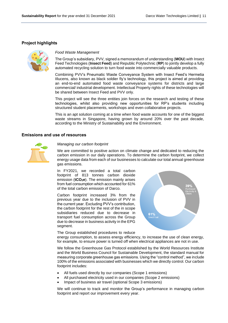#### **Project highlights**



#### *Food Waste Management*

The Group's subsidiary, PVV, signed a memorandum of understanding (**MOU**) with Insect Feed Technologies (**Insect Feed**) and Republic Polytechnic (**RP**) to jointly develop a fully automated recycling solution to turn food waste into commercially valuable products.

Combining PVV's Pneumatic Waste Conveyance System with Insect Feed's Hermetia IIlucens, also known as black soldier fly's technology, this project is aimed at providing an end-to-end automated food waste conveyance systems for districts and large commercial/ industrial development. Intellectual Property rights of these technologies will be shared between Insect Feed and PVV only.

This project will see the three entities join forces on the research and testing of these technologies, whilst also providing new opportunities for RP's students including structured student placements, workshops and even collaborative projects.

This is an apt solution coming at a time when food waste accounts for one of the biggest waste streams in Singapore, having grown by around 20% over the past decade, according to the Ministry of Sustainability and the Environment.

#### **Emissions and use of resources**



#### *Managing our carbon footprint*

We are committed to positive action on climate change and dedicated to reducing the carbon emission in our daily operations. To determine the carbon footprint, we collect energy usage data from each of our businesses to calculate our total annual greenhouse gas emissions.

In FY2021, we recorded a total carbon footprint of 813 tonnes carbon dioxide emission (**tCO2e**). The emission mainly arises from fuel consumption which accounted for 61% of the total carbon emission of Darco.

Carbon footprint increased 3% from the previous year due to the inclusion of PVV in the current year. Excluding PVV's contribution, the carbon footprint for the rest of the in scope subsidiaries reduced due to decrease in transport fuel consumption across the Group due to decrease in business activity in the EPG segment.



The Group established procedures to reduce

energy consumption, to assess energy efficiency, to increase the use of clean energy, for example, to ensure power is turned off when electrical appliances are not in use.

We follow the Greenhouse Gas Protocol established by the World Resources Institute and the World Business Council for Sustainable Development, the standard manual for measuring corporate greenhouse gas emissions. Using the "control method", we include 100% of the emissions associated with businesses which we directly control. Our carbon footprint includes:

- All fuels used directly by our companies (Scope 1 emissions)
- All purchased electricity used in our companies (Scope 2 emissions)
- Impact of business air travel (optional Scope 3 emissions)

We will continue to track and monitor the Group's performance in managing carbon footprint and report our improvement every year.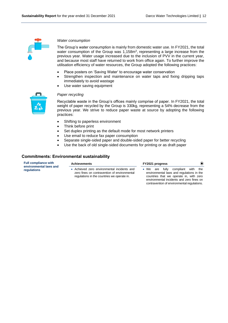

#### *Water consumption*

The Group's water consumption is mainly from domestic water use. In FY2021, the total water consumption of the Group was  $1,158m<sup>3</sup>$ , representing a large increase from the previous year. Water usage increased due to the inclusion of PVV in the current year, and because most staff have returned to work from office again. To further improve the utilisation efficiency of water resources, the Group adopted the following practices:

- Place posters on 'Saving Water' to encourage water conservation
- Strengthen inspection and maintenance on water taps and fixing dripping taps immediately to avoid wastage
- Use water saving equipment



#### *Paper recycling*

Recyclable waste in the Group's offices mainly comprise of paper. In FY2021, the total weight of paper recycled by the Group is 330kg, representing a 54% decrease from the previous year. We strive to reduce paper waste at source by adopting the following practices:

- Shifting to paperless environment
- Think before print

**Achievements**

- Set duplex printing as the default mode for most network printers
- Use email to reduce fax paper consumption
- Separate single-sided paper and double-sided paper for better recycling
- Use the back of old single-sided documents for printing or as draft paper

#### **Commitments: Environmental sustainability**

**Full compliance with environmental laws and regulations**

- Achieved zero environmental incidents and zero fines on contravention of environmental regulations in the countries we operate in.
- **FY2021 progress**
- We are fully compliant with the environmental laws and regulations in the countries that we operate in, with zero environmental incidents and zero fines on contravention of environmental regulations.

 $\odot$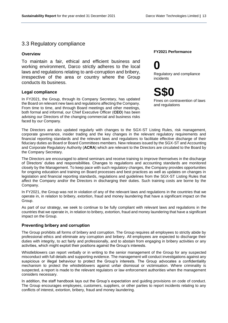### <span id="page-14-0"></span>3.3 Regulatory compliance

#### **Overview**

To maintain a fair, ethical and efficient business and working environment, Darco strictly adheres to the local laws and regulations relating to anti-corruption and bribery, irrespective of the area or country where the Group conducts its business.

#### **Legal compliance**

In FY2021, the Group, through its Company Secretary, has updated the Board on relevant new laws and regulations affecting the Company. From time to time, and through Board meetings and other meetings, both formal and informal, our Chief Executive Officer (**CEO**) has been advising our Directors of the changing commercial and business risks faced by our Company.

#### **FY2021 Performance**

# **0**

Regulatory and compliance incidents

**S\$0**

Fines on contravention of laws and regulations

The Directors are also updated regularly with changes to the SGX-ST Listing Rules, risk management, corporate governance, insider trading and the key changes in the relevant regulatory requirements and financial reporting standards and the relevant laws and regulations to facilitate effective discharge of their fiduciary duties as Board or Board Committees members. New releases issued by the SGX-ST and Accounting and Corporate Regulatory Authority (**ACRA**) which are relevant to the Directors are circulated to the Board by the Company Secretary.

The Directors are encouraged to attend seminars and receive training to improve themselves in the discharge of Directors' duties and responsibilities. Changes to regulations and accounting standards are monitored closely by the Management. To keep pace with such regulatory changes, the Company provides opportunities for ongoing education and training on Board processes and best practices as well as updates on changes in legislation and financial reporting standards, regulations and guidelines from the SGX-ST Listing Rules that affect the Company and/or the Directors in discharging their duties. Such training costs are borne by the Company.

In FY2021, the Group was not in violation of any of the relevant laws and regulations in the countries that we operate in, in relation to bribery, extortion, fraud and money laundering that have a significant impact on the Group.

As part of our strategy, we seek to continue to be fully compliant with relevant laws and regulations in the countries that we operate in, in relation to bribery, extortion, fraud and money laundering that have a significant impact on the Group.

#### **Preventing bribery and corruption**

The Group prohibits all forms of bribery and corruption. The Group requires all employees to strictly abide by professional ethics and eliminate any corruption and bribery. All employees are expected to discharge their duties with integrity, to act fairly and professionally, and to abstain from engaging in bribery activities or any activities, which might exploit their positions against the Group's interests.

Whistleblowers can report verbally or in writing to the senior management of the Group for any suspected misconduct with full details and supporting evidence. The management will conduct investigations against any suspicious or illegal behaviour to protect the Group's interests. The Group advocates a confidentiality mechanism to protect the whistleblowers against unfair dismissal or victimisation. Where criminality is suspected, a report is made to the relevant regulators or law enforcement authorities when the management considers necessary.

In addition, the staff handbook lays out the Group's expectation and guiding provisions on code of conduct. The Group encourages employees, customers, suppliers, or other parties to report incidents relating to any conflicts of interest, extortion, bribery, fraud and money laundering.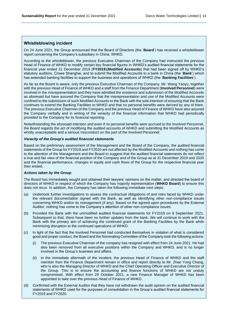#### **Whistleblowing incident**

On 24 June 2021, the Group announced that the Board of Directors (the '**Board**') has received a whistleblower report concerning the Company's subsidiary in China, WHKD.

According to the whistleblower, the previous Executive Chairman of the Company had instructed the previous Head of Finance of WHKD to modify certain key financial figures in WHKD's audited financial statements for the financial year ended 31 December 2019 (**FY2019**)(**Modified Accounts**) that had been signed off by WHKD's statutory auditors, Crowe Shanghai, and to submit the Modified Accounts to a bank in China (the '**Bank**') which has extended banking facilities to support the business and operations of WHKD (the '**Banking Facilities**').

As far as the Board is aware, only the previous Executive Chairman of the Company, Mr. Wang Yaoyu, together with the previous Head of Finance of WHKD and a staff from the Finance Department (**Involved Personnel**) were involved in the misrepresentation and they have admitted the existence and submission of the Modified Accounts as aforesaid but have assured the Company that the misrepresentation and use of the Modified Accounts were confined to the submission of such Modified Accounts to the Bank with the sole intention of ensuring that the Bank continues to extend the Banking Facilities to WHKD and that no personal benefits were derived by any of them. The previous Executive Chairman of the Company and the previous Head of Finance of WHKD have also assured the Company verbally and in writing of the veracity of the financial information that WHKD had periodically provided to the Company for its financial reporting.

Notwithstanding the aforesaid intention and even if no personal benefits were accrued to the Involved Personnel, the Board regards the act of modifying the audited accounts of WHKD and submitting the Modified Accounts as wholly unacceptable and a serious misconduct on the part of the Involved Personnel.

#### *Veracity of the Group's audited financial statements*

Based on the preliminary assessment of the Management and the Board of the Company, the audited financial statements of the Group for FY2019 and FY2020 are not affected by the Modified Accounts and nothing has come to the attention of the Management and the Board to suggest that the audited financial statements do not reflect a true and fair view of the financial position of the Company and of the Group as at 31 December 2019 and 2020 and the financial performance, changes in equity and cash flows of the Group for the respective financial year then ended.

#### *Actions taken by the Group*

The Board has immediately sought and obtained their lawyers' opinions on the matter, and directed the board of directors of WHKD in respect of which the Company has majority representation (**WHKD Board**) to ensure this does not recur. In addition, the Company has taken the following immediate next steps:

- (a) Undertook further investigations to assess the contractual obligations of and risks faced by WHKD under the relevant documentation signed with the Bank, as well as identifying other non-compliance issues concerning WHKD and/or its management (if any). Based on the agreed-upon procedures by the External Auditor, nothing has come to the Company's attention of other non-compliance issues.
- (b) Provided the Bank with the unmodified audited financial statements for FY2019 on 8 September 2021. Subsequent to that, there have been no further updates from the bank. We will continue to work with the Bank with the primary aim of achieving the continued grant of the Banking Facilities by the Bank while minimizing disruption to the continued operations of WHKD.
- (c) In light of the fact that the Involved Personnel had conducted themselves in violation of what is considered good and proper conduct, the Board and the Nominating Committee of the Company took the following actions:
	- (i) The previous Executive Chairman of the company has resigned with effect from 24 June 2021. He had also been removed from all executive positions within the Company and WHKD, and is no longer involved in the Group's business and affairs.
	- (ii) In the immediate aftermath of the incident, the previous Head of Finance of WHKD and the staff member from the Finance Department remain in office and report directly to Mr. Zhao Yong Chang, who is also the Managing Director of WHKD and the Chief Operating Officer and Executive Director of the Group. This is to ensure the accounting and finance functions of WHKD are not unduly compromised. With effect from 29 October 2021, a new Finance Manager of WHKD has been appointed to take over the previous Head of Finance of WHKD.
- (d) Confirmed with the External Auditor that they have not withdrawn the audit opinion on the audited financial statements of WHKD used for the purposes of consolidation in the Group's audited financial statements for FY2019 and FY2020.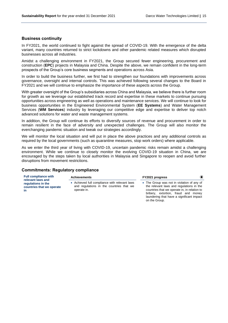laundering that have a significant impact

on the Group.

#### **Business continuity**

In FY2021, the world continued to fight against the spread of COVID-19. With the emergence of the delta variant, many countries returned to strict lockdowns and other pandemic related measures which disrupted businesses across all industries.

Amidst a challenging environment in FY2021, the Group secured fewer engineering, procurement and construction (**EPC**) projects in Malaysia and China. Despite the above, we remain confident in the long-term prospects of the Group's core business segments and operations across Asia.

In order to build the business further, we first had to strengthen our foundations with improvements across governance, oversight and internal controls. This was achieved following several changes to the Board in FY2021 and we will continue to emphasize the importance of these aspects across the Group.

With greater oversight of the Group's subsidiaries across China and Malaysia, we believe there is further room for growth as we leverage our established track record and expertise in these markets to continue pursuing opportunities across engineering as well as operations and maintenance services. We will continue to look for business opportunities in the Engineered Environmental System (**EE Systems**) and Water Management Services (**WM Services**) industry by leveraging our competitive edge and expertise to deliver top notch advanced solutions for water and waste management systems.

In addition, the Group will continue its efforts to diversify sources of revenue and procurement in order to remain resilient in the face of adversity and unexpected challenges. The Group will also monitor the everchanging pandemic situation and tweak our strategies accordingly.

We will monitor the local situation and will put in place the above practices and any additional controls as required by the local governments (such as quarantine measures, stop work orders) where applicable.

As we enter the third year of living with COVID-19, uncertain pandemic risks remain amidst a challenging environment. While we continue to closely monitor the evolving COVID-19 situation in China, we are encouraged by the steps taken by local authorities in Malaysia and Singapore to reopen and avoid further disruptions from movement restrictions.

#### **Commitments: Regulatory compliance**

| <b>Full compliance with</b><br>relevant laws and      | <b>Achievements</b>                                                                                      | FY2021 progress                                                                                                                                                               |
|-------------------------------------------------------|----------------------------------------------------------------------------------------------------------|-------------------------------------------------------------------------------------------------------------------------------------------------------------------------------|
| regulations in the<br>countries that we operate<br>in | • Achieved full compliance with relevant laws<br>and regulations in the countries that we<br>operate in. | • The Group was not in violation of any of<br>the relevant laws and regulations in the<br>countries that we operate in, in relation to<br>bribery, extortion, fraud and money |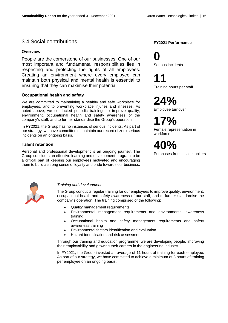### <span id="page-17-0"></span>3.4 Social contributions

#### **Overview**

People are the cornerstone of our businesses. One of our most important and fundamental responsibilities lies in respecting and protecting the rights of all employees. Creating an environment where every employee can maintain both physical and mental health is essential to ensuring that they can maximise their potential.

#### **Occupational health and safety**

We are committed to maintaining a healthy and safe workplace for employees, and to preventing workplace injuries and illnesses. As noted above, we conducted periodic trainings to improve quality, environment, occupational health and safety awareness of the company's staff, and to further standardise the Group's operation.

In FY2021, the Group has no instances of serious incidents. As part of our strategy, we have committed to maintain our record of zero serious incidents on an ongoing basis.

#### **Talent retention**

Personal and professional development is an ongoing journey. The Group considers an effective learning and development program to be a critical part of keeping our employees motivated and encouraging them to build a strong sense of loyalty and pride towards our business.

#### **FY2021 Performance**

**0** Serious incidents

**11**

Training hours per staff

**24%**

Employee turnover

**17%** Female representation in workforce

**40%**

Purchases from local suppliers



#### *Training and development*

The Group conducts regular training for our employees to improve quality, environment, occupational health and safety awareness of our staff, and to further standardise the company's operation. The training comprised of the following:

- Quality management requirements
- Environmental management requirements and environmental awareness training
- Occupational health and safety management requirements and safety awareness training
- Environmental factors identification and evaluation
- Hazard identification and risk assessment

Through our training and education programme, we are developing people, improving their employability and growing their careers in the engineering industry.

In FY2021, the Group invested an average of 11 hours of training for each employee. As part of our strategy, we have committed to achieve a minimum of 8 hours of training per employee on an ongoing basis.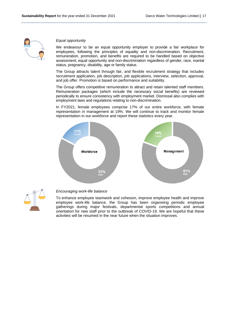

#### *Equal opportunity*

We endeavour to be an equal opportunity employer to provide a fair workplace for employees, following the principles of equality and non-discrimination. Recruitment, remuneration, promotion, and benefits are required to be handled based on objective assessment, equal opportunity and non-discrimination regardless of gender, race, marital status, pregnancy, disability, age or family status.

The Group attracts talent through fair, and flexible recruitment strategy that includes recruitment application, job description, job applications, interview, selection, approval, and job offer. Promotion is based on performance and suitability.

The Group offers competitive remuneration to attract and retain talented staff members. Remuneration packages (which include the necessary social benefits) are reviewed periodically to ensure consistency with employment market. Dismissal also complies with employment laws and regulations relating to non-discrimination.

In FY2021, female employees comprise 17% of our entire workforce, with female representation in management at 19%. We will continue to track and monitor female representation in our workforce and report these statistics every year.





#### *Encouraging work-life balance*

To enhance employee teamwork and cohesion, improve employee health and improve employee work-life balance, the Group has been organising periodic employee gatherings during major festivals, departmental sports competitions and annual orientation for new staff prior to the outbreak of COVID-19. We are hopeful that these activities will be resumed in the near future when the situation improves.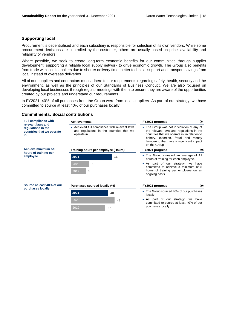#### **Supporting local**

Procurement is decentralised and each subsidiary is responsible for selection of its own vendors. While some procurement decisions are controlled by the customer, others are usually based on price, availability and reliability of vendors.

Where possible, we seek to create long-term economic benefits for our communities through supplier development, supporting a reliable local supply network to drive economic growth. The Group also benefits from trade with local suppliers due to shorter delivery time, better technical support and transport savings from local instead of overseas deliveries.

All of our suppliers and contractors must adhere to our requirements regarding safety, health, security and the environment, as well as the principles of our Standards of Business Conduct. We are also focused on developing local businesses through regular meetings with them to ensure they are aware of the opportunities created by our projects and understand our requirements.

In FY2021, 40% of all purchases from the Group were from local suppliers. As part of our strategy, we have committed to source at least 40% of our purchases locally.

#### **Commitments: Social contributions**

| <b>Full compliance with</b><br>relevant laws and      | <b>Achievements</b>                                                                                      |    | FY2021 progress                                                                                                                                                                                                                             | $\odot$                  |  |
|-------------------------------------------------------|----------------------------------------------------------------------------------------------------------|----|---------------------------------------------------------------------------------------------------------------------------------------------------------------------------------------------------------------------------------------------|--------------------------|--|
| regulations in the<br>countries that we operate<br>in | • Achieved full compliance with relevant laws<br>and regulations in the countries that we<br>operate in. |    | • The Group was not in violation of any of<br>the relevant laws and regulations in the<br>countries that we operate in, in relation to<br>bribery, extortion, fraud and money<br>laundering that have a significant impact<br>on the Group. |                          |  |
| Achieve minimum of 8<br>hours of training per         | Training hours per employee (Hours)                                                                      |    | FY2021 progress                                                                                                                                                                                                                             | $\left( \bullet \right)$ |  |
| employee                                              | 2021                                                                                                     | 11 | • The Group invested an average of 11<br>hours of training for each employee.                                                                                                                                                               |                          |  |
|                                                       | 5<br>2020<br>4<br>2019                                                                                   |    | • As part of our strategy, we have<br>committed to achieve a minimum of 8<br>hours of training per employee on an<br>ongoing basis.                                                                                                         |                          |  |
| Source at least 40% of our<br>purchases locally       | Purchases sourced locally (%)                                                                            |    | FY2021 progress                                                                                                                                                                                                                             | $\odot$                  |  |
|                                                       | 2021                                                                                                     | 40 | • The Group sourced 40% of our purchases<br>locally.                                                                                                                                                                                        |                          |  |
|                                                       | 2020                                                                                                     | 47 | As part of our strategy, we have<br>$\bullet$<br>committed to source at least 40% of our                                                                                                                                                    |                          |  |
|                                                       | 2019                                                                                                     | 37 | purchases locally.                                                                                                                                                                                                                          |                          |  |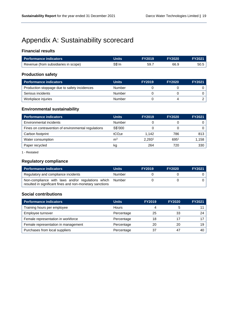# <span id="page-20-0"></span>Appendix A: Sustainability scorecard

#### **Financial results**

| <b>Performance indicators</b>        | <b>Units</b> | <b>FY2019</b> | <b>FY2020</b> | <b>FY2021</b> |
|--------------------------------------|--------------|---------------|---------------|---------------|
| Revenue (from subsidiaries in scope) | S\$'m        | 59.7          | 66.9          | 50.5          |

#### **Production safety**

| <b>Performance indicators</b>                | <b>Units</b> | <b>FY2019</b> | <b>FY2020</b> | <b>FY2021</b> |
|----------------------------------------------|--------------|---------------|---------------|---------------|
| Production stoppage due to safety incidences | Number       |               |               |               |
| Serious incidents                            | Number       |               |               |               |
| Workplace injuries                           | Number       |               |               |               |

### **Environmental sustainability**

| <b>Performance indicators</b>                       | <b>Units</b>       | <b>FY2019</b>      | <b>FY2020</b> | <b>FY2021</b> |
|-----------------------------------------------------|--------------------|--------------------|---------------|---------------|
| Environmental incidents                             | Number             |                    |               |               |
| Fines on contravention of environmental regulations | S\$'000            |                    |               |               |
| Carbon footprint                                    | tCO <sub>2</sub> e | 1.142              | 786           | 813           |
| Water consumption                                   | m <sup>3</sup>     | 2.293 <sup>1</sup> | 6951          | 1,158         |
| Paper recycled                                      | kg                 | 264                | 720           | 330           |

1 - Restated

#### **Regulatory compliance**

| Performance indicators                                                                                        | <b>Units</b> | <b>FY2019</b> | <b>FY2020</b> | <b>FY2021</b> |
|---------------------------------------------------------------------------------------------------------------|--------------|---------------|---------------|---------------|
| Regulatory and compliance incidents                                                                           | Number       |               |               |               |
| Non-compliance with laws and/or regulations which<br>resulted in significant fines and non-monetary sanctions | Number       |               |               |               |

#### **Social contributions**

| <b>Performance indicators</b>       | <b>Units</b> | <b>FY2019</b> | <b>FY2020</b> | <b>FY2021</b> |
|-------------------------------------|--------------|---------------|---------------|---------------|
| Training hours per employee         | Hours        |               |               |               |
| Employee turnover                   | Percentage   | 25            | 33            |               |
| Female representation in workforce  | Percentage   | 18            |               |               |
| Female representation in management | Percentage   | 20            | 20            | 19            |
| Purchases from local suppliers      | Percentage   | 37            | 47            | 40            |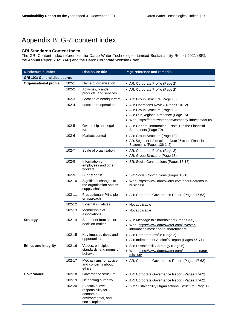# <span id="page-21-0"></span>Appendix B: GRI content index

#### **GRI Standards Content Index**

The GRI Content Index references the Darco Water Technologies Limited Sustainability Report 2021 (SR), the Annual Report 2021 (AR) and the Darco Corporate Website (Web).

| <b>Disclosure number</b>            |                                                    | <b>Disclosure title</b>                                                                   | Page reference and remarks                                                          |  |
|-------------------------------------|----------------------------------------------------|-------------------------------------------------------------------------------------------|-------------------------------------------------------------------------------------|--|
| <b>GRI 102: General disclosures</b> |                                                    |                                                                                           |                                                                                     |  |
| <b>Organisational profile</b>       | $102 - 1$                                          | Name of organisation                                                                      | • AR: Corporate Profile (Page 2)                                                    |  |
|                                     | $102 - 2$                                          | Activities, brands,<br>products, and services                                             | • AR: Corporate Profile (Page 2)                                                    |  |
|                                     | $102 - 3$                                          | Location of headquarters                                                                  | • AR: Group Structure (Page 13)                                                     |  |
|                                     | $102 - 4$                                          | Location of operations                                                                    | • AR: Operations Review (Pages 10-12)                                               |  |
|                                     |                                                    |                                                                                           | • AR: Group Structure (Page 13)                                                     |  |
|                                     |                                                    |                                                                                           | • AR: Our Regional Presence (Page 15)                                               |  |
|                                     |                                                    |                                                                                           | • Web: https://darcowater.com/company-info/contact-us                               |  |
|                                     | $102 - 5$                                          | Ownership and legal<br>form                                                               | • AR: General Information - Note 1 to the Financial<br>Statements (Page 79)         |  |
|                                     | $102 - 6$                                          | Markets served                                                                            | • AR: Group Structure (Page 13)                                                     |  |
|                                     |                                                    |                                                                                           | • AR: Segment Information - Note 26 to the Financial<br>Statements (Pages 136-142)  |  |
|                                     | $102 - 7$                                          | Scale of organisation                                                                     | • AR: Corporate Profile (Page 2)                                                    |  |
|                                     |                                                    |                                                                                           | • AR: Group Structure (Page 13)                                                     |  |
|                                     | $102 - 8$                                          | Information on<br>employees and other<br>workers                                          | • SR: Social Contributions (Pages 16-18)                                            |  |
|                                     | 102-9                                              | Supply chain                                                                              | • SR: Social Contributions (Pages 16-18)                                            |  |
|                                     | 102-10                                             | Significant changes to<br>the organisation and its<br>supply chain                        | • Web: https://www.darcowater.com/about-darco/our-<br>business/                     |  |
|                                     | 102-11                                             | <b>Precautionary Principle</b><br>or approach                                             | • AR: Corporate Governance Report (Pages 17-62)                                     |  |
|                                     | 102-12                                             | <b>External initiatives</b>                                                               | • Not applicable                                                                    |  |
|                                     | 102-13                                             | Membership of<br>associations                                                             | • Not applicable                                                                    |  |
| <b>Strategy</b>                     | 102-14                                             | Statement from senior                                                                     | • AR: Message to Shareholders (Pages 3-5)                                           |  |
|                                     |                                                    | decision-maker                                                                            | • Web: https://www.darcowater.com/investor-<br>information/message-to-shareholders/ |  |
|                                     | 102-15<br>Key impacts, risks, and<br>opportunities |                                                                                           | • AR: Corporate Profile (Page 2)                                                    |  |
|                                     |                                                    | • AR: Independent Auditor's Report (Pages 66-71)                                          |                                                                                     |  |
| <b>Ethics and integrity</b>         | 102-16<br>behavior                                 | Values, principles,                                                                       | • SR: Sustainability Strategy (Page 5)                                              |  |
|                                     |                                                    | standards, and norms of                                                                   | • Web: https://www.darcowater.com/about-darco/our-<br>mission/                      |  |
|                                     | 102-17                                             | Mechanisms for advice<br>and concerns about<br>ethics                                     | • AR: Corporate Governance Report (Pages 17-62)                                     |  |
| Governance                          | 102-18                                             | Governance structure                                                                      | • AR: Corporate Governance Report (Pages 17-62)                                     |  |
|                                     | 102-19                                             | Delegating authority                                                                      | • AR: Corporate Governance Report (Pages 17-62)                                     |  |
|                                     | 102-20                                             | Executive-level<br>responsibility for<br>economic,<br>environmental, and<br>social topics | • SR: Sustainability Organisational Structure (Page 4)                              |  |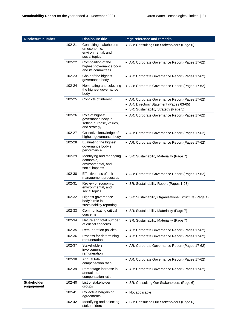| <b>Disclosure number</b>  |        | <b>Disclosure title</b>                                                           | Page reference and remarks                                                                                                            |
|---------------------------|--------|-----------------------------------------------------------------------------------|---------------------------------------------------------------------------------------------------------------------------------------|
|                           | 102-21 | Consulting stakeholders<br>on economic,<br>environmental, and<br>social topics    | • SR: Consulting Our Stakeholders (Page 6)                                                                                            |
|                           | 102-22 | Composition of the<br>highest governance body<br>and its committees               | • AR: Corporate Governance Report (Pages 17-62)                                                                                       |
|                           | 102-23 | Chair of the highest<br>governance body                                           | • AR: Corporate Governance Report (Pages 17-62)                                                                                       |
|                           | 102-24 | Nominating and selecting<br>the highest governance<br>body                        | • AR: Corporate Governance Report (Pages 17-62)                                                                                       |
|                           | 102-25 | Conflicts of interest                                                             | • AR: Corporate Governance Report (Pages 17-62)<br>• AR: Directors' Statement (Pages 63-65)<br>• SR: Sustainability Strategy (Page 5) |
|                           | 102-26 | Role of highest<br>governance body in<br>setting purpose, values,<br>and strategy | • AR: Corporate Governance Report (Pages 17-62)                                                                                       |
|                           | 102-27 | Collective knowledge of<br>highest governance body                                | • AR: Corporate Governance Report (Pages 17-62)                                                                                       |
|                           | 102-28 | Evaluating the highest<br>governance body's<br>performance                        | • AR: Corporate Governance Report (Pages 17-62)                                                                                       |
|                           | 102-29 | Identifying and managing<br>economic,<br>environmental, and<br>social impacts     | • SR: Sustainability Materiality (Page 7)                                                                                             |
|                           | 102-30 | Effectiveness of risk<br>management processes                                     | • AR: Corporate Governance Report (Pages 17-62)                                                                                       |
|                           | 102-31 | Review of economic,<br>environmental, and<br>social topics                        | • SR: Sustainability Report (Pages 1-23)                                                                                              |
|                           | 102-32 | Highest governance<br>body's role in<br>sustainability reporting                  | • SR: Sustainability Organisational Structure (Page 4)                                                                                |
|                           | 102-33 | Communicating critical<br>concerns                                                | • SR: Sustainability Materiality (Page 7)                                                                                             |
|                           | 102-34 | Nature and total number<br>of critical concerns                                   | • SR: Sustainability Materiality (Page 7)                                                                                             |
|                           | 102-35 | Remuneration policies                                                             | • AR: Corporate Governance Report (Pages 17-62)                                                                                       |
|                           | 102-36 | Process for determining<br>remuneration                                           | • AR: Corporate Governance Report (Pages 17-62)                                                                                       |
|                           | 102-37 | Stakeholders'<br>involvement in<br>remuneration                                   | • AR: Corporate Governance Report (Pages 17-62)                                                                                       |
|                           | 102-38 | Annual total<br>compensation ratio                                                | • AR: Corporate Governance Report (Pages 17-62)                                                                                       |
|                           | 102-39 | Percentage increase in<br>annual total<br>compensation ratio                      | • AR: Corporate Governance Report (Pages 17-62)                                                                                       |
| Stakeholder<br>engagement | 102-40 | List of stakeholder<br>groups                                                     | • SR: Consulting Our Stakeholders (Page 6)                                                                                            |
|                           | 102-41 | Collective bargaining<br>agreements                                               | • Not applicable                                                                                                                      |
|                           | 102-42 | Identifying and selecting<br>stakeholders                                         | • SR: Consulting Our Stakeholders (Page 6)                                                                                            |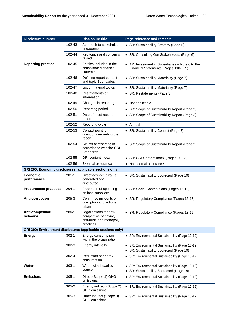| <b>Disclosure number</b>                                 |           | <b>Disclosure title</b>                                                                   | Page reference and remarks                                                                  |
|----------------------------------------------------------|-----------|-------------------------------------------------------------------------------------------|---------------------------------------------------------------------------------------------|
|                                                          | 102-43    | Approach to stakeholder<br>engagement                                                     | • SR: Sustainability Strategy (Page 5)                                                      |
|                                                          | 102-44    | Key topics and concerns<br>raised                                                         | • SR: Consulting Our Stakeholders (Page 6)                                                  |
| <b>Reporting practice</b>                                | 102-45    | Entities included in the<br>consolidated financial<br>statements                          | • AR: Investment in Subsidiaries $-$ Note 6 to the<br>Financial Statements (Pages 110-115)  |
|                                                          | 102-46    | Defining report content<br>and topic Boundaries                                           | • SR: Sustainability Materiality (Page 7)                                                   |
|                                                          | 102-47    | List of material topics                                                                   | • SR: Sustainability Materiality (Page 7)                                                   |
|                                                          | 102-48    | Restatements of<br>information                                                            | • SR: Restatements (Page 3)                                                                 |
|                                                          | 102-49    | Changes in reporting                                                                      | • Not applicable                                                                            |
|                                                          | 102-50    | Reporting period                                                                          | • SR: Scope of Sustainability Report (Page 3)                                               |
|                                                          | 102-51    | Date of most recent<br>report                                                             | • SR: Scope of Sustainability Report (Page 3)                                               |
|                                                          | 102-52    | Reporting cycle                                                                           | • Annual                                                                                    |
|                                                          | 102-53    | Contact point for<br>questions regarding the<br>report                                    | • SR: Sustainability Contact (Page 3)                                                       |
|                                                          | 102-54    | Claims of reporting in<br>accordance with the GRI<br>Standards                            | • SR: Scope of Sustainability Report (Page 3)                                               |
|                                                          | 102-55    | <b>GRI</b> content index                                                                  | • SR: GRI Content Index (Pages 20-23)                                                       |
|                                                          | 102-56    | External assurance                                                                        | • No external assurance                                                                     |
| GRI 200: Economic disclosures (applicable sections only) |           |                                                                                           |                                                                                             |
| <b>Economic</b><br>performance                           | $201 - 1$ | Direct economic value<br>generated and<br>distributed                                     | • SR: Sustainability Scorecard (Page 19)                                                    |
| <b>Procurement practices</b>                             | $204-1$   | Proportion of spending<br>on local suppliers                                              | • SR: Social Contributions (Pages 16-18)                                                    |
| Anti-corruption                                          | 205-3     | Confirmed incidents of<br>corruption and actions<br>taken                                 | • SR: Regulatory Compliance (Pages 13-15)                                                   |
| Anti-competitive<br>behavior                             | $206-1$   | Legal actions for anti-<br>competitive behavior,<br>anti-trust, and monopoly<br>practices | • SR: Regulatory Compliance (Pages 13-15)                                                   |
|                                                          |           | GRI 300: Environment disclosures (applicable sections only)                               |                                                                                             |
| <b>Energy</b>                                            | $302 - 1$ | Energy consumption<br>within the organisation                                             | • SR: Environmental Sustainability (Page 10-12)                                             |
|                                                          | $302 - 3$ | Energy intensity                                                                          | • SR: Environmental Sustainability (Page 10-12)<br>• SR: Sustainability Scorecard (Page 19) |
|                                                          | $302 - 4$ | Reduction of energy<br>consumption                                                        | • SR: Environmental Sustainability (Page 10-12)                                             |
| Water                                                    | $303-1$   | Water withdrawal by<br>source                                                             | • SR: Environmental Sustainability (Page 10-12)<br>• SR: Sustainability Scorecard (Page 19) |
| <b>Emissions</b>                                         | $305 - 1$ | Direct (Scope 1) GHG<br>emissions                                                         | • SR: Environmental Sustainability (Page 10-12)                                             |
|                                                          | 305-2     | Energy indirect (Scope 2)<br><b>GHG</b> emissions                                         | • SR: Environmental Sustainability (Page 10-12)                                             |
|                                                          | $305 - 3$ | Other indirect (Scope 3)<br><b>GHG</b> emissions                                          | • SR: Environmental Sustainability (Page 10-12)                                             |